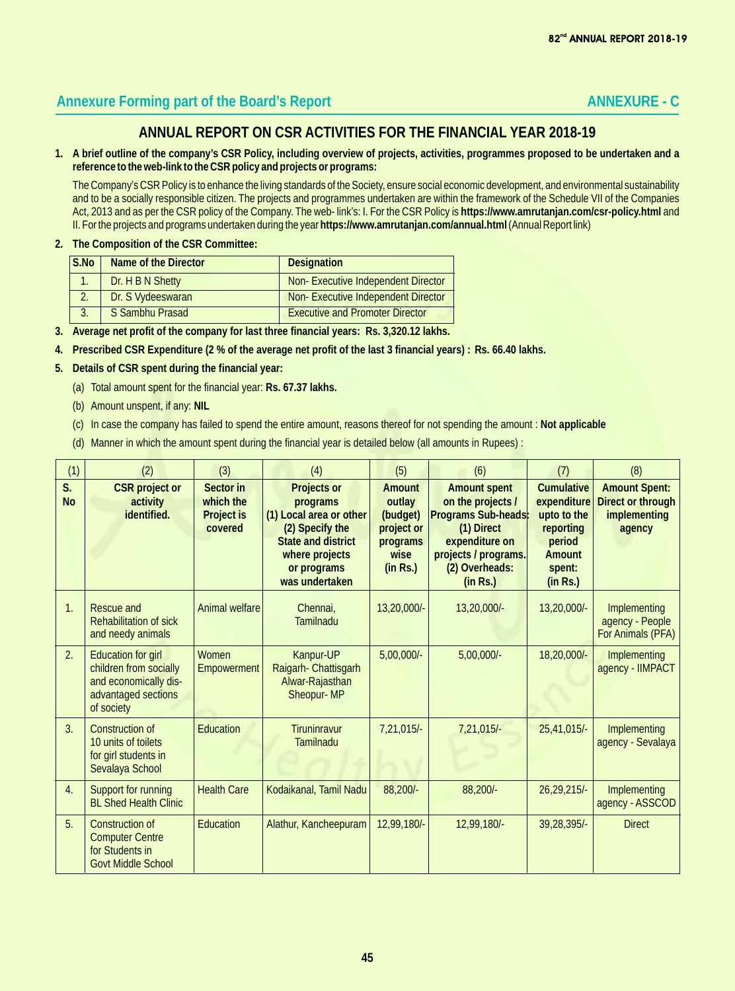# Annexure Forming part of the Board's Report **ANNEXURE - C ANNEXURE - C**

## **ANNUAL REPORT ON CSR ACTIVITIES FOR THE FINANCIAL YEAR 2018-19**

**1. A brief outline of the company's CSR Policy, including overview of projects, activities, programmes proposed to be undertaken and a reference to the web-link to the CSR policy and projects or programs:**

The Company's CSR Policy is to enhance the living standards of the Society, ensure social economic development, and environmental sustainability and to be a socially responsible citizen. The projects and programmes undertaken are within the framework of the Schedule VII of the Companies Act, 2013 and as per the CSR policy of the Company. The web- link's: I. For the CSR Policy is **https://www.amrutanjan.com/csr-policy.html** and II. For the projects and programs undertaken during the year **https://www.amrutanjan.com/annual.html** (Annual Report link)

**2. The Composition of the CSR Committee:**

| S.No | Name of the Director | <b>Designation</b>                     |
|------|----------------------|----------------------------------------|
|      | Dr. H B N Shetty     | Non-Executive Independent Director     |
|      | Dr. S Vydeeswaran    | Non-Executive Independent Director     |
|      | S Sambhu Prasad      | <b>Executive and Promoter Director</b> |

- **3. Average net profit of the company for last three financial years: Rs. 3,320.12 lakhs.**
- **4. Prescribed CSR Expenditure (2 % of the average net profit of the last 3 financial years) : Rs. 66.40 lakhs.**
- **5. Details of CSR spent during the financial year:**
	- (a) Total amount spent for the financial year: **Rs. 67.37 lakhs.**
	- (b) Amount unspent, if any: **NIL**
	- (c) In case the company has failed to spend the entire amount, reasons thereof for not spending the amount : **Not applicable**
	- (d) Manner in which the amount spent during the financial year is detailed below (all amounts in Rupees) :

| (1)             | (2)                                                                                                               | (3)                                             | (4)                                                                                                                                                   | (5)                                                                        | (6)                                                                                                                                                   | (7)                                                                                             | (8)                                                                 |
|-----------------|-------------------------------------------------------------------------------------------------------------------|-------------------------------------------------|-------------------------------------------------------------------------------------------------------------------------------------------------------|----------------------------------------------------------------------------|-------------------------------------------------------------------------------------------------------------------------------------------------------|-------------------------------------------------------------------------------------------------|---------------------------------------------------------------------|
| S.<br><b>No</b> | <b>CSR</b> project or<br>activity<br>identified.                                                                  | Sector in<br>which the<br>Project is<br>covered | Projects or<br>programs<br>(1) Local area or other<br>(2) Specify the<br><b>State and district</b><br>where projects<br>or programs<br>was undertaken | Amount<br>outlay<br>(budget)<br>project or<br>programs<br>wise<br>(in Rs.) | <b>Amount spent</b><br>on the projects /<br>Programs Sub-heads:<br>(1) Direct<br>expenditure on<br>projects / programs.<br>(2) Overheads:<br>(in Rs.) | Cumulative<br>expenditure<br>upto to the<br>reporting<br>period<br>Amount<br>spent:<br>(in Rs.) | <b>Amount Spent:</b><br>Direct or through<br>implementing<br>agency |
| $\mathbf{1}$ .  | Rescue and<br>Rehabilitation of sick<br>and needy animals                                                         | Animal welfare                                  | Chennai,<br><b>Tamilnadu</b>                                                                                                                          | 13,20,000/-                                                                | 13,20,000/-                                                                                                                                           | 13,20,000/-                                                                                     | Implementing<br>agency - People<br>For Animals (PFA)                |
| 2.              | <b>Education for girl</b><br>children from socially<br>and economically dis-<br>advantaged sections<br>of society | Women<br><b>Empowerment</b>                     | Kanpur-UP<br>Raigarh- Chattisgarh<br>Alwar-Rajasthan<br>Sheopur-MP                                                                                    | $5,00,000/-$                                                               | $5,00,000/-$                                                                                                                                          | 18,20,000/-                                                                                     | Implementing<br>agency - IIMPACT                                    |
| 3.              | <b>Construction of</b><br>10 units of toilets<br>for girl students in<br>Sevalaya School                          | Education                                       | Tiruninravur<br><b>Tamilnadu</b>                                                                                                                      | 7,21,015/-                                                                 | 7,21,015/-                                                                                                                                            | 25,41,015/-                                                                                     | Implementing<br>agency - Sevalaya                                   |
| 4.              | Support for running<br><b>BL Shed Health Clinic</b>                                                               | <b>Health Care</b>                              | Kodaikanal, Tamil Nadu                                                                                                                                | 88,200/-                                                                   | 88,200/-                                                                                                                                              | $26,29,215/-$                                                                                   | Implementing<br>agency - ASSCOD                                     |
| 5.              | Construction of<br><b>Computer Centre</b><br>for Students in<br><b>Govt Middle School</b>                         | <b>Education</b>                                | Alathur, Kancheepuram                                                                                                                                 | 12,99,180/-                                                                | 12,99,180/-                                                                                                                                           | 39,28,395/-                                                                                     | <b>Direct</b>                                                       |